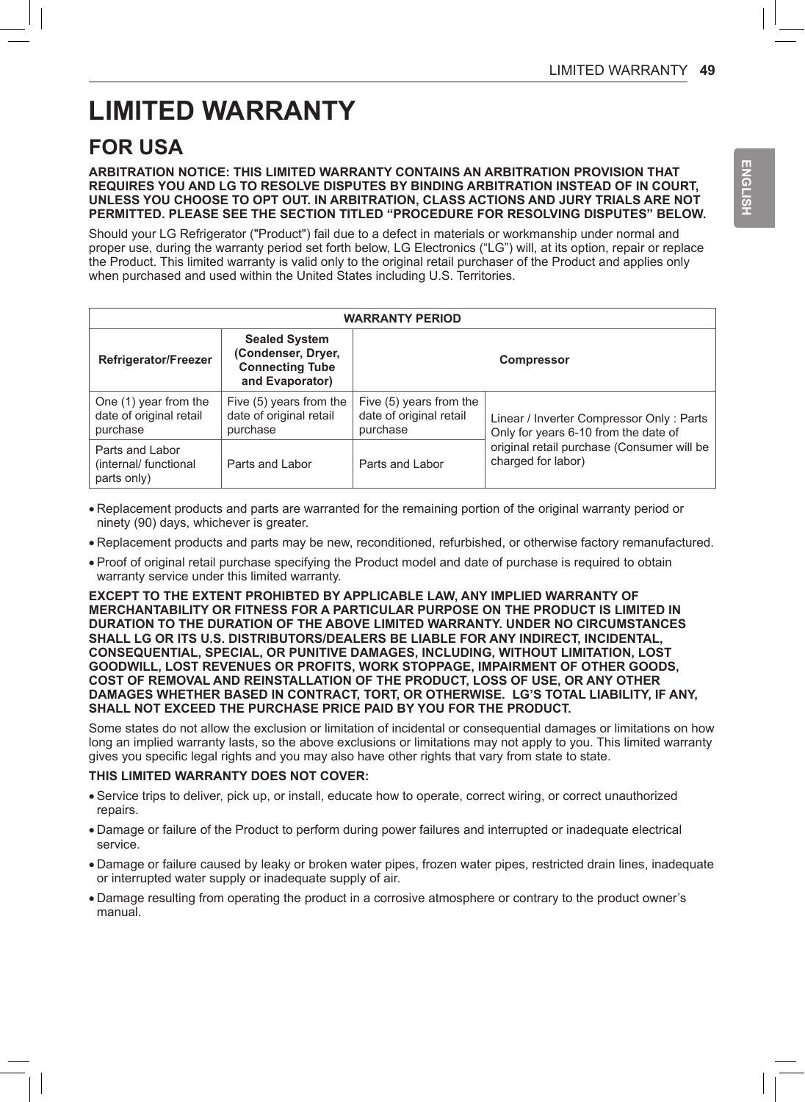# **LIMITED WARRANTY**

## **FOR USA**

#### **ARBITRATION NOTICE: THIS LIMITED WARRANTY CONTAINS AN ARBITRATION PROVISION THAT REQUIRES YOU AND LG TO RESOLVE DISPUTES BY BINDING ARBITRATION INSTEAD OF IN COURT, UNLESS YOU CHOOSE TO OPT OUT. IN ARBITRATION, CLASS ACTIONS AND JURY TRIALS ARE NOT PERMITTED. PLEASE SEE THE SECTION TITLED "PROCEDURE FOR RESOLVING DISPUTES" BELOW.**

Should your LG Refrigerator ("Product") fail due to a defect in materials or workmanship under normal and proper use, during the warranty period set forth below, LG Electronics ("LG") will, at its option, repair or replace the Product. This limited warranty is valid only to the original retail purchaser of the Product and applies only when purchased and used within the United States including U.S. Territories.

| <b>WARRANTY PERIOD</b>                                       |                                                                                         |                                                                |                                                                                                                                                      |
|--------------------------------------------------------------|-----------------------------------------------------------------------------------------|----------------------------------------------------------------|------------------------------------------------------------------------------------------------------------------------------------------------------|
| Refrigerator/Freezer                                         | <b>Sealed System</b><br>(Condenser, Dryer,<br><b>Connecting Tube</b><br>and Evaporator) | <b>Compressor</b>                                              |                                                                                                                                                      |
| One (1) year from the<br>date of original retail<br>purchase | Five (5) years from the<br>date of original retail<br>purchase                          | Five (5) years from the<br>date of original retail<br>purchase | Linear / Inverter Compressor Only: Parts<br>Only for years 6-10 from the date of<br>original retail purchase (Consumer will be<br>charged for labor) |
| Parts and Labor<br>(internal/ functional<br>parts only)      | Parts and Labor                                                                         | Parts and Labor                                                |                                                                                                                                                      |

- Replacement products and parts are warranted for the remaining portion of the original warranty period or ninety (90) days, whichever is greater.
- Replacement products and parts may be new, reconditioned, refurbished, or otherwise factory remanufactured.
- Proof of original retail purchase specifying the Product model and date of purchase is required to obtain warranty service under this limited warranty.

**EXCEPT TO THE EXTENT PROHIBTED BY APPLICABLE LAW, ANY IMPLIED WARRANTY OF MERCHANTABILITY OR FITNESS FOR A PARTICULAR PURPOSE ON THE PRODUCT IS LIMITED IN DURATION TO THE DURATION OF THE ABOVE LIMITED WARRANTY. UNDER NO CIRCUMSTANCES SHALL LG OR ITS U.S. DISTRIBUTORS/DEALERS BE LIABLE FOR ANY INDIRECT, INCIDENTAL, CONSEQUENTIAL, SPECIAL, OR PUNITIVE DAMAGES, INCLUDING, WITHOUT LIMITATION, LOST GOODWILL, LOST REVENUES OR PROFITS, WORK STOPPAGE, IMPAIRMENT OF OTHER GOODS, COST OF REMOVAL AND REINSTALLATION OF THE PRODUCT, LOSS OF USE, OR ANY OTHER DAMAGES WHETHER BASED IN CONTRACT, TORT, OR OTHERWISE. LG'S TOTAL LIABILITY, IF ANY, SHALL NOT EXCEED THE PURCHASE PRICE PAID BY YOU FOR THE PRODUCT.**

Some states do not allow the exclusion or limitation of incidental or consequential damages or limitations on how long an implied warranty lasts, so the above exclusions or limitations may not apply to you. This limited warranty gives you specific legal rights and you may also have other rights that vary from state to state.

#### **THIS LIMITED WARRANTY DOES NOT COVER:**

- Service trips to deliver, pick up, or install, educate how to operate, correct wiring, or correct unauthorized repairs.
- Damage or failure of the Product to perform during power failures and interrupted or inadequate electrical service.
- Damage or failure caused by leaky or broken water pipes, frozen water pipes, restricted drain lines, inadequate or interrupted water supply or inadequate supply of air.
- Damage resulting from operating the product in a corrosive atmosphere or contrary to the product owner's manual.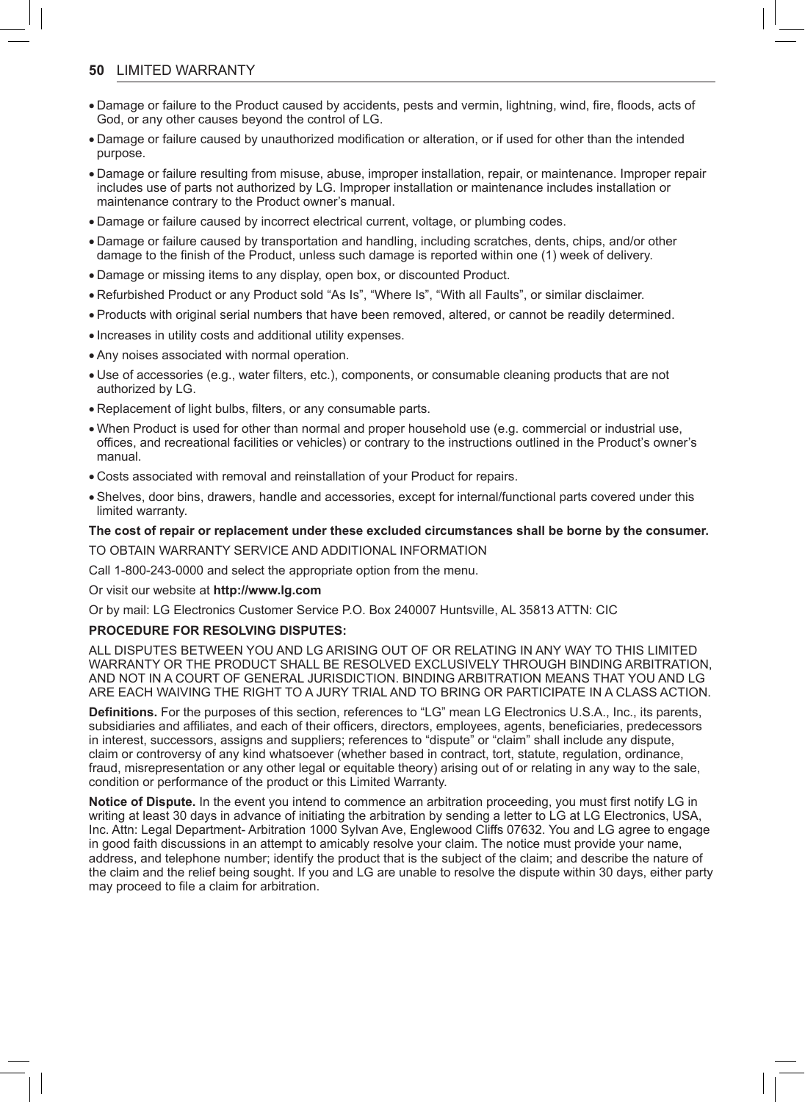#### **50** LIMITED WARRANTY

- Damage or failure to the Product caused by accidents, pests and vermin, lightning, wind, fire, floods, acts of God, or any other causes beyond the control of LG.
- Damage or failure caused by unauthorized modification or alteration, or if used for other than the intended purpose.
- Damage or failure resulting from misuse, abuse, improper installation, repair, or maintenance. Improper repair includes use of parts not authorized by LG. Improper installation or maintenance includes installation or maintenance contrary to the Product owner's manual.
- Damage or failure caused by incorrect electrical current, voltage, or plumbing codes.
- Damage or failure caused by transportation and handling, including scratches, dents, chips, and/or other damage to the finish of the Product, unless such damage is reported within one (1) week of delivery.
- Damage or missing items to any display, open box, or discounted Product.
- Refurbished Product or any Product sold "As Is", "Where Is", "With all Faults", or similar disclaimer.
- Products with original serial numbers that have been removed, altered, or cannot be readily determined.
- Increases in utility costs and additional utility expenses.
- Any noises associated with normal operation.
- Use of accessories (e.g., water filters, etc.), components, or consumable cleaning products that are not authorized by LG.
- Replacement of light bulbs, filters, or any consumable parts.
- When Product is used for other than normal and proper household use (e.g. commercial or industrial use, offices, and recreational facilities or vehicles) or contrary to the instructions outlined in the Product's owner's manual.
- Costs associated with removal and reinstallation of your Product for repairs.
- Shelves, door bins, drawers, handle and accessories, except for internal/functional parts covered under this limited warranty.

### **The cost of repair or replacement under these excluded circumstances shall be borne by the consumer.**

TO OBTAIN WARRANTY SERVICE AND ADDITIONAL INFORMATION

Call 1-800-243-0000 and select the appropriate option from the menu.

Or visit our website at **http://www.lg.com**

Or by mail: LG Electronics Customer Service P.O. Box 240007 Huntsville, AL 35813 ATTN: CIC

#### **PROCEDURE FOR RESOLVING DISPUTES:**

ALL DISPUTES BETWEEN YOU AND LG ARISING OUT OF OR RELATING IN ANY WAY TO THIS LIMITED WARRANTY OR THE PRODUCT SHALL BE RESOLVED EXCLUSIVELY THROUGH BINDING ARBITRATION, AND NOT IN A COURT OF GENERAL JURISDICTION. BINDING ARBITRATION MEANS THAT YOU AND LG ARE EACH WAIVING THE RIGHT TO A JURY TRIAL AND TO BRING OR PARTICIPATE IN A CLASS ACTION.

**Definitions.** For the purposes of this section, references to "LG" mean LG Electronics U.S.A., Inc., its parents, subsidiaries and affiliates, and each of their officers, directors, employees, agents, beneficiaries, predecessors in interest, successors, assigns and suppliers; references to "dispute" or "claim" shall include any dispute, claim or controversy of any kind whatsoever (whether based in contract, tort, statute, regulation, ordinance, fraud, misrepresentation or any other legal or equitable theory) arising out of or relating in any way to the sale, condition or performance of the product or this Limited Warranty.

**Notice of Dispute.** In the event you intend to commence an arbitration proceeding, you must first notify LG in writing at least 30 days in advance of initiating the arbitration by sending a letter to LG at LG Electronics, USA, Inc. Attn: Legal Department- Arbitration 1000 Sylvan Ave, Englewood Cliffs 07632. You and LG agree to engage in good faith discussions in an attempt to amicably resolve your claim. The notice must provide your name, address, and telephone number; identify the product that is the subject of the claim; and describe the nature of the claim and the relief being sought. If you and LG are unable to resolve the dispute within 30 days, either party may proceed to file a claim for arbitration.